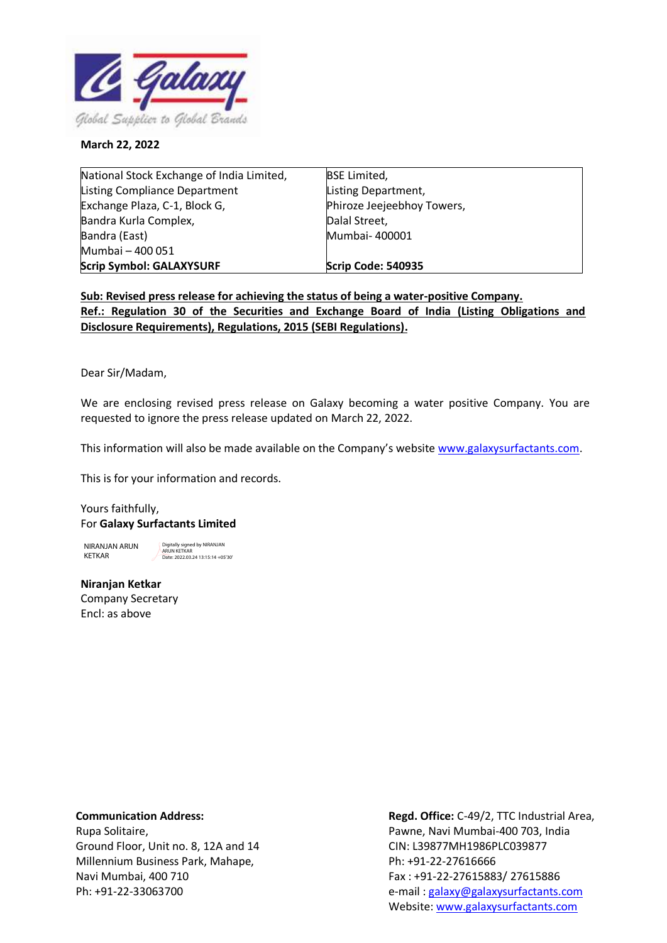

## **March 22, 2022**

| National Stock Exchange of India Limited, | <b>BSE Limited,</b>        |
|-------------------------------------------|----------------------------|
| <b>Listing Compliance Department</b>      | Listing Department,        |
| Exchange Plaza, C-1, Block G,             | Phiroze Jeejeebhoy Towers, |
| Bandra Kurla Complex,                     | Dalal Street,              |
| Bandra (East)                             | Mumbai- 400001             |
| Mumbai - 400 051                          |                            |
| <b>Scrip Symbol: GALAXYSURF</b>           | Scrip Code: 540935         |

**Sub: Revised press release for achieving the status of being a water-positive Company. Ref.: Regulation 30 of the Securities and Exchange Board of India (Listing Obligations and Disclosure Requirements), Regulations, 2015 (SEBI Regulations).**

Dear Sir/Madam,

We are enclosing revised press release on Galaxy becoming a water positive Company. You are requested to ignore the press release updated on March 22, 2022.

This information will also be made available on the Company's website [www.galaxysurfactants.com.](http://www.galaxysurfactants.com/)

This is for your information and records.

Yours faithfully, For **Galaxy Surfactants Limited**

NIRANJAN ARUN KETKAR

Digitally signed by NIRANJAN ARUN KETKAR Date: 2022.03.24 13:15:14 +05'30'

**Niranjan Ketkar** Company Secretary Encl: as above

## **Communication Address:**

Rupa Solitaire, Ground Floor, Unit no. 8, 12A and 14 Millennium Business Park, Mahape, Navi Mumbai, 400 710 Ph: +91-22-33063700

**Regd. Office:** C-49/2, TTC Industrial Area, Pawne, Navi Mumbai-400 703, India CIN: L39877MH1986PLC039877 Ph: +91-22-27616666 Fax : +91-22-27615883/ 27615886 e-mail [: galaxy@galaxysurfactants.com](mailto:galaxy@galaxysurfactants.com) Website[: www.galaxysurfactants.com](http://www.galaxysurfactants.com/)